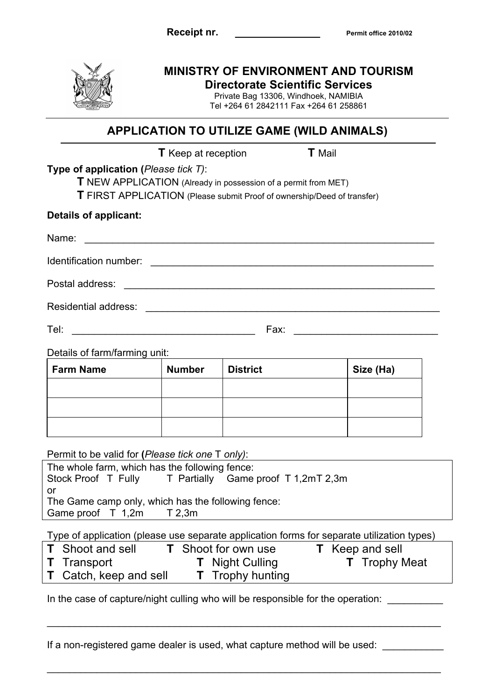

## **MINISTRY OF ENVIRONMENT AND TOURISM**

**Directorate Scientific Services** Private Bag 13306, Windhoek, NAMIBIA

Tel +264 61 2842111 Fax +264 61 258861

## **APPLICATION TO UTILIZE GAME (WILD ANIMALS)**

|                                                                                                                                                                                                                     | <b>T</b> Keep at reception                                                                                                                                                         |                                                                                | <b>T</b> Mail                                                                              |  |
|---------------------------------------------------------------------------------------------------------------------------------------------------------------------------------------------------------------------|------------------------------------------------------------------------------------------------------------------------------------------------------------------------------------|--------------------------------------------------------------------------------|--------------------------------------------------------------------------------------------|--|
| Type of application (Please tick T):                                                                                                                                                                                |                                                                                                                                                                                    |                                                                                |                                                                                            |  |
|                                                                                                                                                                                                                     |                                                                                                                                                                                    | T NEW APPLICATION (Already in possession of a permit from MET)                 |                                                                                            |  |
|                                                                                                                                                                                                                     |                                                                                                                                                                                    | <b>T</b> FIRST APPLICATION (Please submit Proof of ownership/Deed of transfer) |                                                                                            |  |
| Details of applicant:                                                                                                                                                                                               |                                                                                                                                                                                    |                                                                                |                                                                                            |  |
| Name:                                                                                                                                                                                                               |                                                                                                                                                                                    |                                                                                |                                                                                            |  |
|                                                                                                                                                                                                                     |                                                                                                                                                                                    |                                                                                |                                                                                            |  |
|                                                                                                                                                                                                                     |                                                                                                                                                                                    |                                                                                |                                                                                            |  |
|                                                                                                                                                                                                                     |                                                                                                                                                                                    |                                                                                |                                                                                            |  |
| Tel:                                                                                                                                                                                                                | Fax:<br><u> 1989 - Johann Barbara, martxa alemaniar a</u><br><u> 1989 - Johann Harry Harry Harry Harry Harry Harry Harry Harry Harry Harry Harry Harry Harry Harry Harry Harry</u> |                                                                                |                                                                                            |  |
| Details of farm/farming unit:                                                                                                                                                                                       |                                                                                                                                                                                    |                                                                                |                                                                                            |  |
| <b>Farm Name</b>                                                                                                                                                                                                    | <b>Number</b>                                                                                                                                                                      | <b>District</b>                                                                | Size (Ha)                                                                                  |  |
|                                                                                                                                                                                                                     |                                                                                                                                                                                    |                                                                                |                                                                                            |  |
|                                                                                                                                                                                                                     |                                                                                                                                                                                    |                                                                                |                                                                                            |  |
|                                                                                                                                                                                                                     |                                                                                                                                                                                    |                                                                                |                                                                                            |  |
|                                                                                                                                                                                                                     |                                                                                                                                                                                    |                                                                                |                                                                                            |  |
|                                                                                                                                                                                                                     |                                                                                                                                                                                    |                                                                                |                                                                                            |  |
|                                                                                                                                                                                                                     |                                                                                                                                                                                    |                                                                                |                                                                                            |  |
|                                                                                                                                                                                                                     |                                                                                                                                                                                    |                                                                                |                                                                                            |  |
|                                                                                                                                                                                                                     |                                                                                                                                                                                    | Stock Proof T Fully T Partially Game proof T 1,2mT 2,3m                        |                                                                                            |  |
|                                                                                                                                                                                                                     |                                                                                                                                                                                    |                                                                                |                                                                                            |  |
|                                                                                                                                                                                                                     |                                                                                                                                                                                    |                                                                                |                                                                                            |  |
|                                                                                                                                                                                                                     |                                                                                                                                                                                    |                                                                                |                                                                                            |  |
| Shoot and sell                                                                                                                                                                                                      |                                                                                                                                                                                    | <b>T</b> Shoot for own use                                                     | Type of application (please use separate application forms for separate utilization types) |  |
| Permit to be valid for (Please tick one T only):<br>The whole farm, which has the following fence:<br>or<br>The Game camp only, which has the following fence:<br>Game proof T 1,2m T 2,3m<br>T.<br>Transport<br>T. |                                                                                                                                                                                    | <b>T</b> Night Culling                                                         | <b>T</b> Keep and sell<br><b>T</b> Trophy Meat                                             |  |

If a non-registered game dealer is used, what capture method will be used:

 $\_$  , and the set of the set of the set of the set of the set of the set of the set of the set of the set of the set of the set of the set of the set of the set of the set of the set of the set of the set of the set of th

 $\_$  , and the set of the set of the set of the set of the set of the set of the set of the set of the set of the set of the set of the set of the set of the set of the set of the set of the set of the set of the set of th